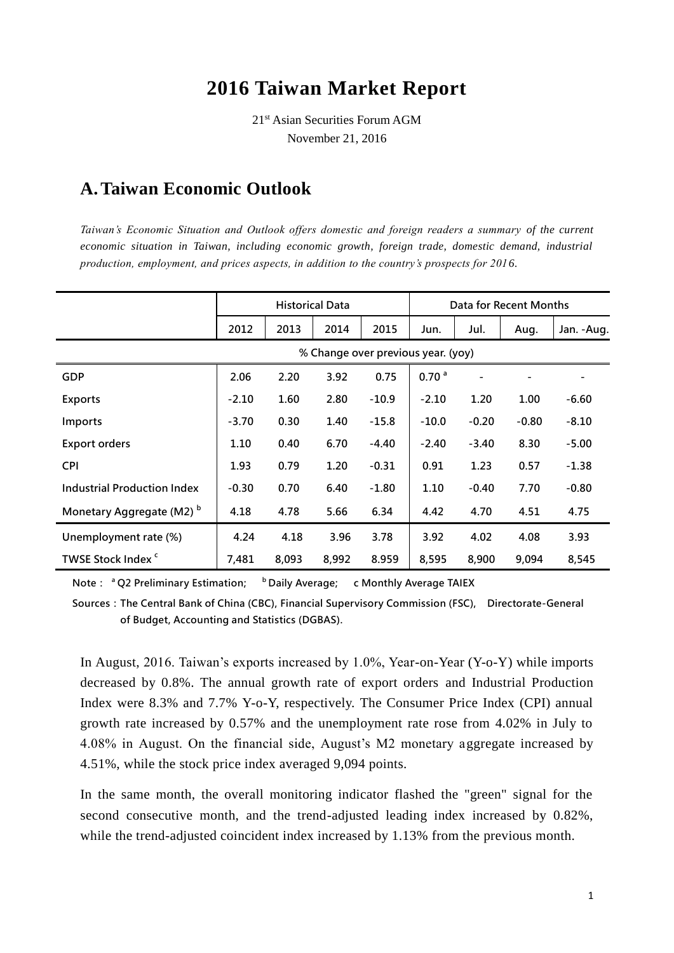# **2016 Taiwan Market Report**

21st Asian Securities Forum AGM November 21, 2016

# **A.Taiwan Economic Outlook**

*Taiwan's Economic Situation and Outlook offers domestic and foreign readers a summary of the current economic situation in Taiwan, including economic growth, foreign trade, domestic demand, industrial production, employment, and prices aspects, in addition to the country's prospects for 2016.*

|                                      | <b>Historical Data</b> |       |       |                                    | Data for Recent Months |                          |         |             |
|--------------------------------------|------------------------|-------|-------|------------------------------------|------------------------|--------------------------|---------|-------------|
|                                      | 2012                   | 2013  | 2014  | 2015                               | Jun.                   | Jul.                     | Aug.    | Jan. - Aug. |
|                                      |                        |       |       | % Change over previous year. (yoy) |                        |                          |         |             |
| <b>GDP</b>                           | 2.06                   | 2.20  | 3.92  | 0.75                               | 0.70 <sup>a</sup>      | $\overline{\phantom{0}}$ |         |             |
| <b>Exports</b>                       | $-2.10$                | 1.60  | 2.80  | $-10.9$                            | $-2.10$                | 1.20                     | 1.00    | $-6.60$     |
| <b>Imports</b>                       | $-3.70$                | 0.30  | 1.40  | $-15.8$                            | $-10.0$                | $-0.20$                  | $-0.80$ | $-8.10$     |
| <b>Export orders</b>                 | 1.10                   | 0.40  | 6.70  | $-4.40$                            | $-2.40$                | $-3.40$                  | 8.30    | $-5.00$     |
| <b>CPI</b>                           | 1.93                   | 0.79  | 1.20  | $-0.31$                            | 0.91                   | 1.23                     | 0.57    | $-1.38$     |
| <b>Industrial Production Index</b>   | $-0.30$                | 0.70  | 6.40  | $-1.80$                            | 1.10                   | $-0.40$                  | 7.70    | $-0.80$     |
| Monetary Aggregate (M2) <sup>b</sup> | 4.18                   | 4.78  | 5.66  | 6.34                               | 4.42                   | 4.70                     | 4.51    | 4.75        |
| Unemployment rate (%)                | 4.24                   | 4.18  | 3.96  | 3.78                               | 3.92                   | 4.02                     | 4.08    | 3.93        |
| TWSE Stock Index <sup>c</sup>        | 7,481                  | 8,093 | 8,992 | 8.959                              | 8,595                  | 8,900                    | 9,094   | 8,545       |

**Note: <sup>a</sup>Q2 Preliminary Estimation; <sup>b</sup>Daily Average; c Monthly Average TAIEX**

**Sources:The Central Bank of China (CBC), Financial Supervisory Commission (FSC), Directorate-General of Budget, Accounting and Statistics (DGBAS).**

In August, 2016. Taiwan's exports increased by 1.0%, Year-on-Year (Y-o-Y) while imports decreased by 0.8%. The annual growth rate of export orders and Industrial Production Index were 8.3% and 7.7% Y-o-Y, respectively. The Consumer Price Index (CPI) annual growth rate increased by 0.57% and the unemployment rate rose from 4.02% in July to 4.08% in August. On the financial side, August's M2 monetary aggregate increased by 4.51%, while the stock price index averaged 9,094 points.

In the same month, the overall monitoring indicator flashed the "green" signal for the second consecutive month, and the trend-adjusted leading index increased by 0.82%, while the trend-adjusted coincident index increased by 1.13% from the previous month.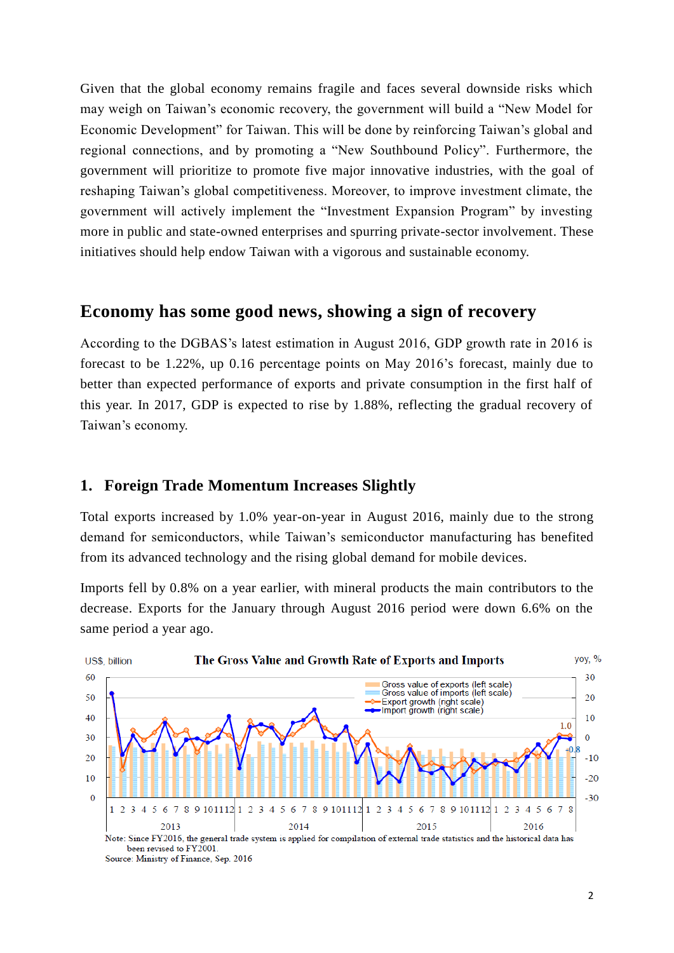Given that the global economy remains fragile and faces several downside risks which may weigh on Taiwan's economic recovery, the government will build a "New Model for Economic Development" for Taiwan. This will be done by reinforcing Taiwan's global and regional connections, and by promoting a "New Southbound Policy". Furthermore, the government will prioritize to promote five major innovative industries, with the goal of reshaping Taiwan's global competitiveness. Moreover, to improve investment climate, the government will actively implement the "Investment Expansion Program" by investing more in public and state-owned enterprises and spurring private-sector involvement. These initiatives should help endow Taiwan with a vigorous and sustainable economy.

#### **Economy has some good news, showing a sign of recovery**

According to the DGBAS's latest estimation in August 2016, GDP growth rate in 2016 is forecast to be 1.22%, up 0.16 percentage points on May 2016's forecast, mainly due to better than expected performance of exports and private consumption in the first half of this year. In 2017, GDP is expected to rise by 1.88%, reflecting the gradual recovery of Taiwan's economy.

#### **1. Foreign Trade Momentum Increases Slightly**

Total exports increased by 1.0% year-on-year in August 2016, mainly due to the strong demand for semiconductors, while Taiwan's semiconductor manufacturing has benefited from its advanced technology and the rising global demand for mobile devices.

Imports fell by 0.8% on a year earlier, with mineral products the main contributors to the decrease. Exports for the January through August 2016 period were down 6.6% on the same period a year ago.

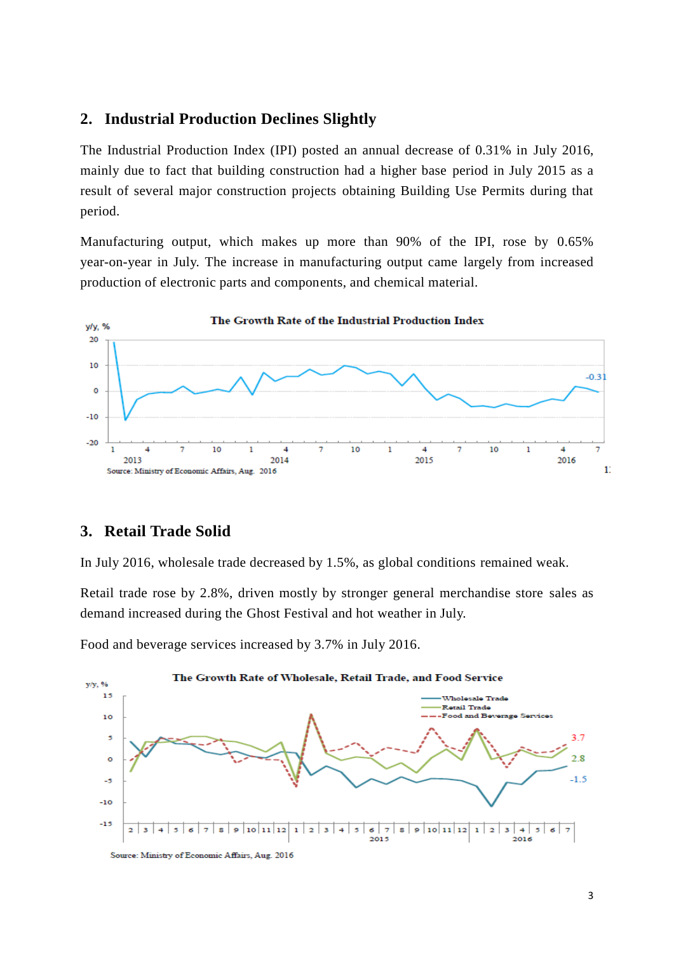#### **2. Industrial Production Declines Slightly**

The Industrial Production Index (IPI) posted an annual decrease of 0.31% in July 2016, mainly due to fact that building construction had a higher base period in July 2015 as a result of several major construction projects obtaining Building Use Permits during that period.

Manufacturing output, which makes up more than 90% of the IPI, rose by 0.65% year-on-year in July. The increase in manufacturing output came largely from increased production of electronic parts and components, and chemical material.



#### **3. Retail Trade Solid**

In July 2016, wholesale trade decreased by 1.5%, as global conditions remained weak.

Retail trade rose by 2.8%, driven mostly by stronger general merchandise store sales as demand increased during the Ghost Festival and hot weather in July.

Food and beverage services increased by 3.7% in July 2016.



Source: Ministry of Economic Affairs, Aug. 2016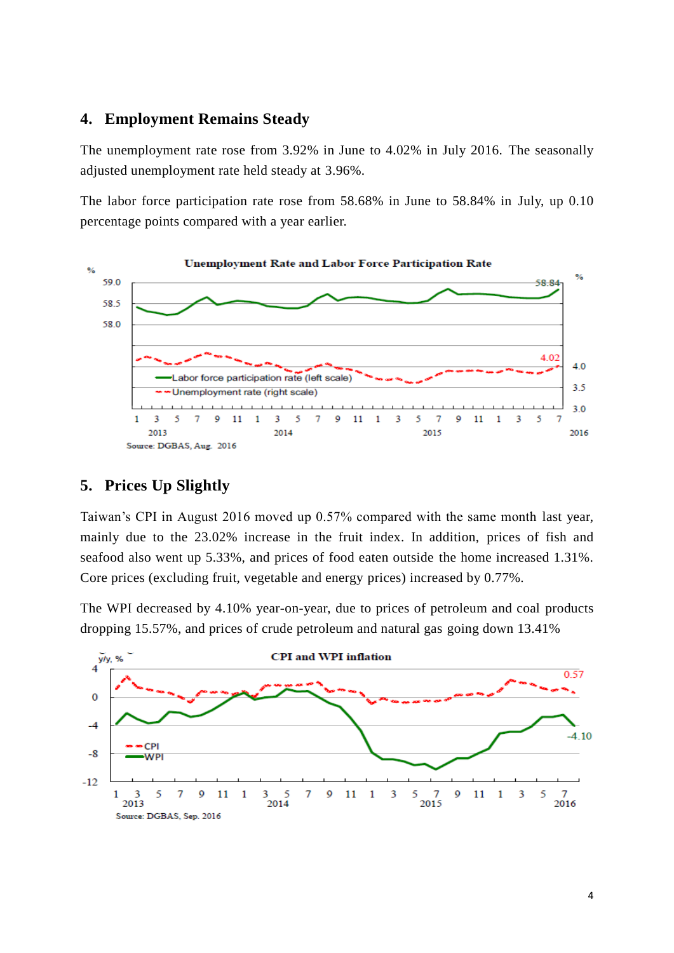#### **4. Employment Remains Steady**

The unemployment rate rose from 3.92% in June to 4.02% in July 2016. The seasonally adjusted unemployment rate held steady at 3.96%.

The labor force participation rate rose from 58.68% in June to 58.84% in July, up 0.10 percentage points compared with a year earlier.



#### **5. Prices Up Slightly**

Taiwan's CPI in August 2016 moved up 0.57% compared with the same month last year, mainly due to the 23.02% increase in the fruit index. In addition, prices of fish and seafood also went up 5.33%, and prices of food eaten outside the home increased 1.31%. Core prices (excluding fruit, vegetable and energy prices) increased by 0.77%.

The WPI decreased by 4.10% year-on-year, due to prices of petroleum and coal products dropping 15.57%, and prices of crude petroleum and natural gas going down 13.41%

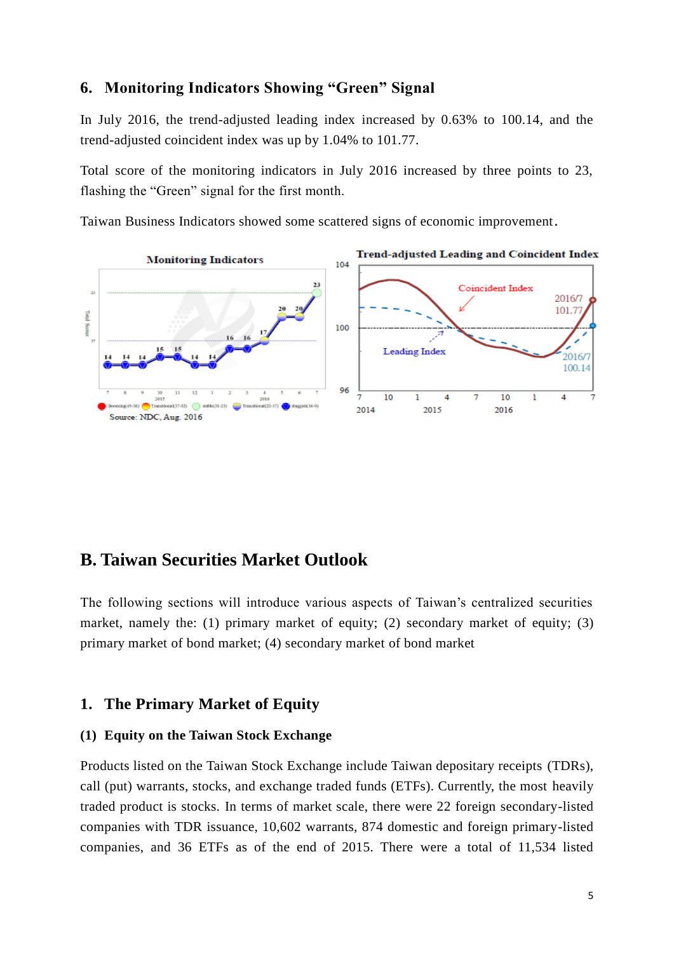#### **6. Monitoring Indicators Showing "Green" Signal**

In July 2016, the trend-adjusted leading index increased by 0.63% to 100.14, and the trend-adjusted coincident index was up by 1.04% to 101.77.

Total score of the monitoring indicators in July 2016 increased by three points to 23, flashing the "Green" signal for the first month.

Taiwan Business Indicators showed some scattered signs of economic improvement.



# **B. Taiwan Securities Market Outlook**

The following sections will introduce various aspects of Taiwan's centralized securities market, namely the: (1) primary market of equity; (2) secondary market of equity; (3) primary market of bond market; (4) secondary market of bond market

#### **1. The Primary Market of Equity**

#### **(1) Equity on the Taiwan Stock Exchange**

Products listed on the Taiwan Stock Exchange include Taiwan depositary receipts (TDRs), call (put) warrants, stocks, and exchange traded funds (ETFs). Currently, the most heavily traded product is stocks. In terms of market scale, there were 22 foreign secondary-listed companies with TDR issuance, 10,602 warrants, 874 domestic and foreign primary-listed companies, and 36 ETFs as of the end of 2015. There were a total of 11,534 listed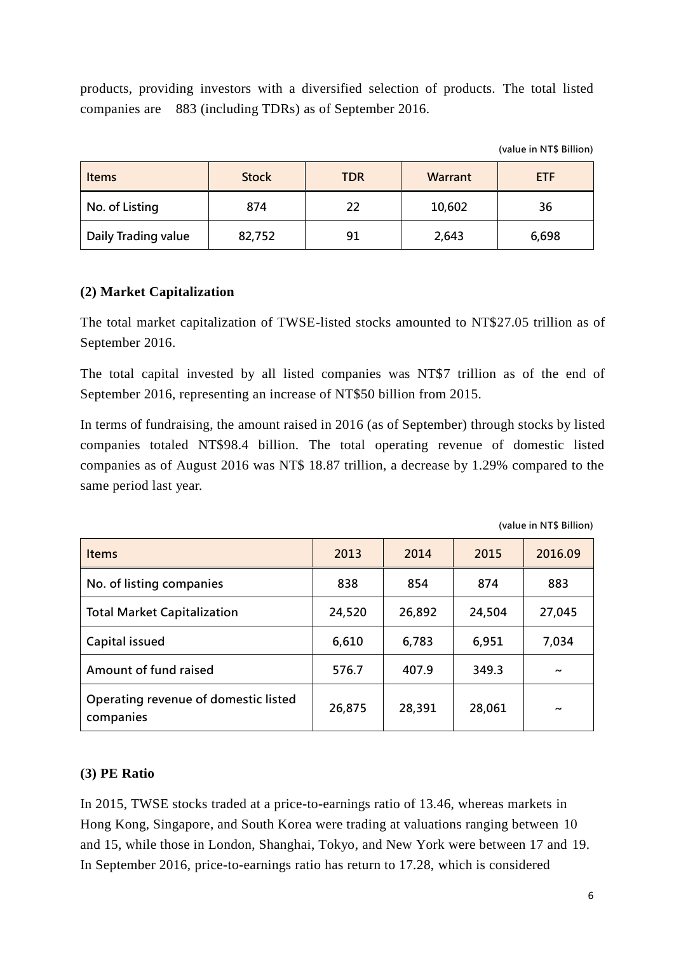products, providing investors with a diversified selection of products. The total listed companies are 883 (including TDRs) as of September 2016.

|  |  | (value in NT\$ Billion) |
|--|--|-------------------------|
|  |  |                         |

| <b>Items</b>        | <b>Stock</b> | <b>TDR</b> | Warrant | <b>ETF</b> |
|---------------------|--------------|------------|---------|------------|
| No. of Listing      | 874          | 22         | 10,602  | 36         |
| Daily Trading value | 82,752       | 91         | 2,643   | 6,698      |

#### **(2) Market Capitalization**

The total market capitalization of TWSE-listed stocks amounted to NT\$27.05 trillion as of September 2016.

The total capital invested by all listed companies was NT\$7 trillion as of the end of September 2016, representing an increase of NT\$50 billion from 2015.

In terms of fundraising, the amount raised in 2016 (as of September) through stocks by listed companies totaled NT\$98.4 billion. The total operating revenue of domestic listed companies as of August 2016 was NT\$ 18.87 trillion, a decrease by 1.29% compared to the same period last year.

| <b>Items</b>                                      | 2013   | 2014   | 2015   | 2016.09               |
|---------------------------------------------------|--------|--------|--------|-----------------------|
| No. of listing companies                          | 838    | 854    | 874    | 883                   |
| <b>Total Market Capitalization</b>                | 24,520 | 26,892 | 24,504 | 27,045                |
| Capital issued                                    | 6,610  | 6,783  | 6,951  | 7,034                 |
| Amount of fund raised                             | 576.7  | 407.9  | 349.3  | $\tilde{\phantom{a}}$ |
| Operating revenue of domestic listed<br>companies | 26,875 | 28,391 | 28,061 | $\tilde{\phantom{a}}$ |

**(value in NT\$ Billion)**

#### **(3) PE Ratio**

In 2015, TWSE stocks traded at a price-to-earnings ratio of 13.46, whereas markets in Hong Kong, Singapore, and South Korea were trading at valuations ranging between 10 and 15, while those in London, Shanghai, Tokyo, and New York were between 17 and 19. In September 2016, price-to-earnings ratio has return to 17.28, which is considered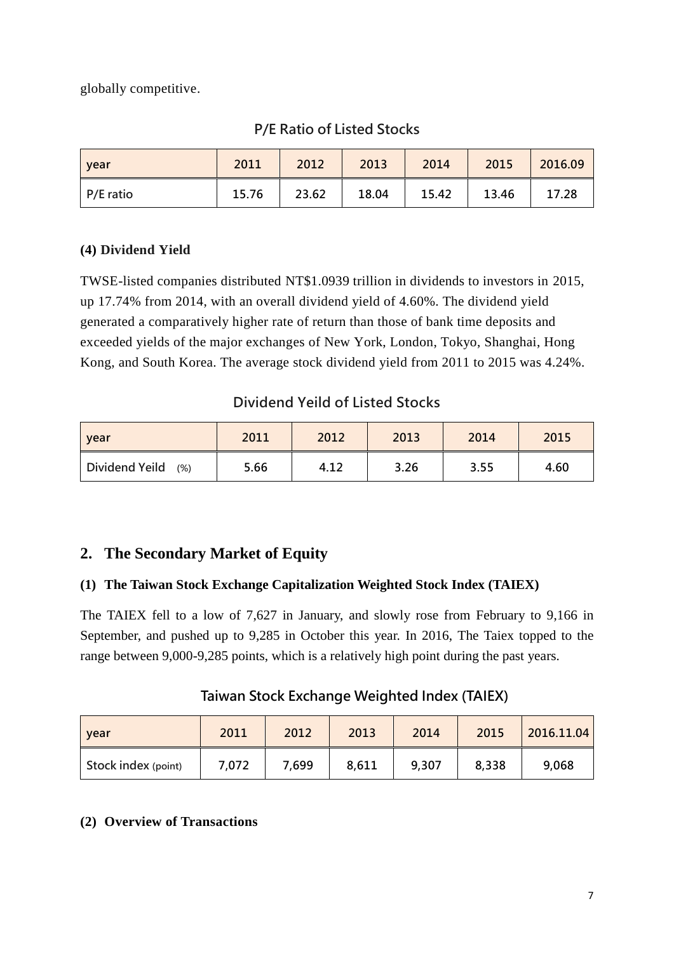globally competitive.

| <b>vear</b> | 2011  | 2012  | 2013  | 2014  | 2015  | 2016.09 |
|-------------|-------|-------|-------|-------|-------|---------|
| P/E ratio   | 15.76 | 23.62 | 18.04 | 15.42 | 13.46 | 17.28   |

# **P/E Ratio of Listed Stocks**

## **(4) Dividend Yield**

TWSE-listed companies distributed NT\$1.0939 trillion in dividends to investors in 2015, up 17.74% from 2014, with an overall dividend yield of 4.60%. The dividend yield generated a comparatively higher rate of return than those of bank time deposits and exceeded yields of the major exchanges of New York, London, Tokyo, Shanghai, Hong Kong, and South Korea. The average stock dividend yield from 2011 to 2015 was 4.24%.

# **Dividend Yeild of Listed Stocks**

| vear                  | 2011 | 2012 | 2013 | 2014 | 2015 |
|-----------------------|------|------|------|------|------|
| Dividend Yeild<br>(%) | 5.66 | 4.12 | 3.26 | 3.55 | 4.60 |

# **2. The Secondary Market of Equity**

# **(1) The Taiwan Stock Exchange Capitalization Weighted Stock Index (TAIEX)**

The TAIEX fell to a low of 7,627 in January, and slowly rose from February to 9,166 in September, and pushed up to 9,285 in October this year. In 2016, The Taiex topped to the range between 9,000-9,285 points, which is a relatively high point during the past years.

| Taiwan Stock Exchange Weighted Index (TAIEX) |  |  |
|----------------------------------------------|--|--|
|                                              |  |  |

| <b>vear</b>         | 2011  | 2012  | 2013  | 2014  | 2015  | 2016.11.04 |
|---------------------|-------|-------|-------|-------|-------|------------|
| Stock index (point) | 7,072 | 7,699 | 8,611 | 9,307 | 8,338 | 9,068      |

# **(2) Overview of Transactions**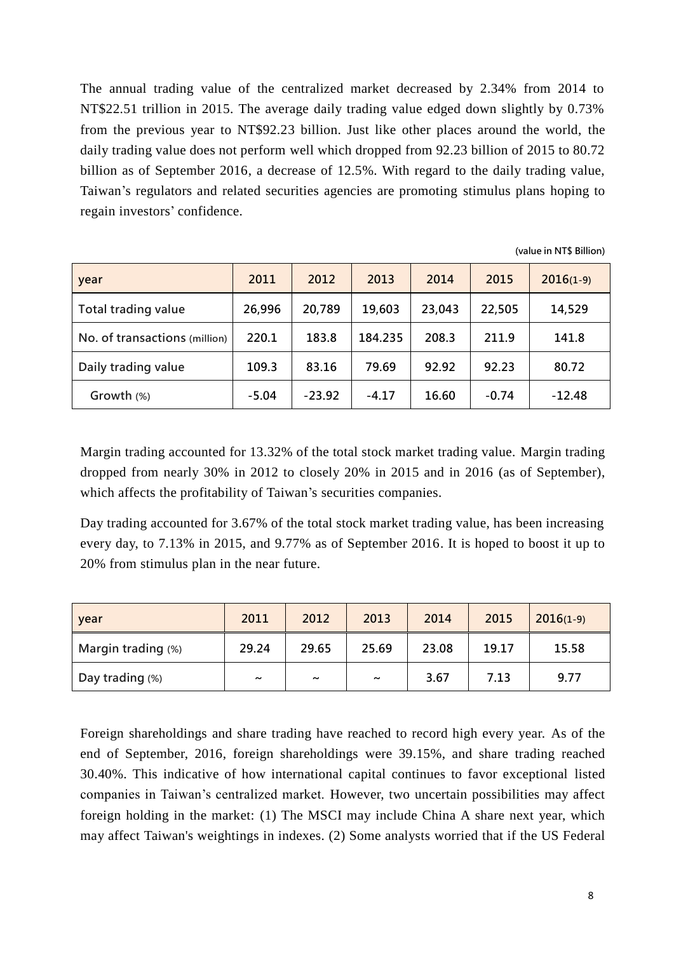The annual trading value of the centralized market decreased by 2.34% from 2014 to NT\$22.51 trillion in 2015. The average daily trading value edged down slightly by 0.73% from the previous year to NT\$92.23 billion. Just like other places around the world, the daily trading value does not perform well which dropped from 92.23 billion of 2015 to 80.72 billion as of September 2016, a decrease of 12.5%. With regard to the daily trading value, Taiwan's regulators and related securities agencies are promoting stimulus plans hoping to regain investors' confidence.

**(value in NT\$ Billion)**

| year                          | 2011    | 2012     | 2013    | 2014   | 2015    | $2016(1-9)$ |
|-------------------------------|---------|----------|---------|--------|---------|-------------|
| <b>Total trading value</b>    | 26,996  | 20,789   | 19,603  | 23,043 | 22,505  | 14,529      |
| No. of transactions (million) | 220.1   | 183.8    | 184.235 | 208.3  | 211.9   | 141.8       |
| Daily trading value           | 109.3   | 83.16    | 79.69   | 92.92  | 92.23   | 80.72       |
| Growth (%)                    | $-5.04$ | $-23.92$ | $-4.17$ | 16.60  | $-0.74$ | $-12.48$    |

Margin trading accounted for 13.32% of the total stock market trading value. Margin trading dropped from nearly 30% in 2012 to closely 20% in 2015 and in 2016 (as of September), which affects the profitability of Taiwan's securities companies.

Day trading accounted for 3.67% of the total stock market trading value, has been increasing every day, to 7.13% in 2015, and 9.77% as of September 2016. It is hoped to boost it up to 20% from stimulus plan in the near future.

| year               | 2011                  | 2012                  | 2013                  | 2014  | 2015  | $2016(1-9)$ |
|--------------------|-----------------------|-----------------------|-----------------------|-------|-------|-------------|
| Margin trading (%) | 29.24                 | 29.65                 | 25.69                 | 23.08 | 19.17 | 15.58       |
| Day trading (%)    | $\tilde{\phantom{a}}$ | $\tilde{\phantom{a}}$ | $\tilde{\phantom{a}}$ | 3.67  | 7.13  | 9.77        |

Foreign shareholdings and share trading have reached to record high every year. As of the end of September, 2016, foreign shareholdings were 39.15%, and share trading reached 30.40%. This indicative of how international capital continues to favor exceptional listed companies in Taiwan's centralized market. However, two uncertain possibilities may affect foreign holding in the market: (1) The MSCI may include China A share next year, which may affect Taiwan's weightings in indexes. (2) Some analysts worried that if the US Federal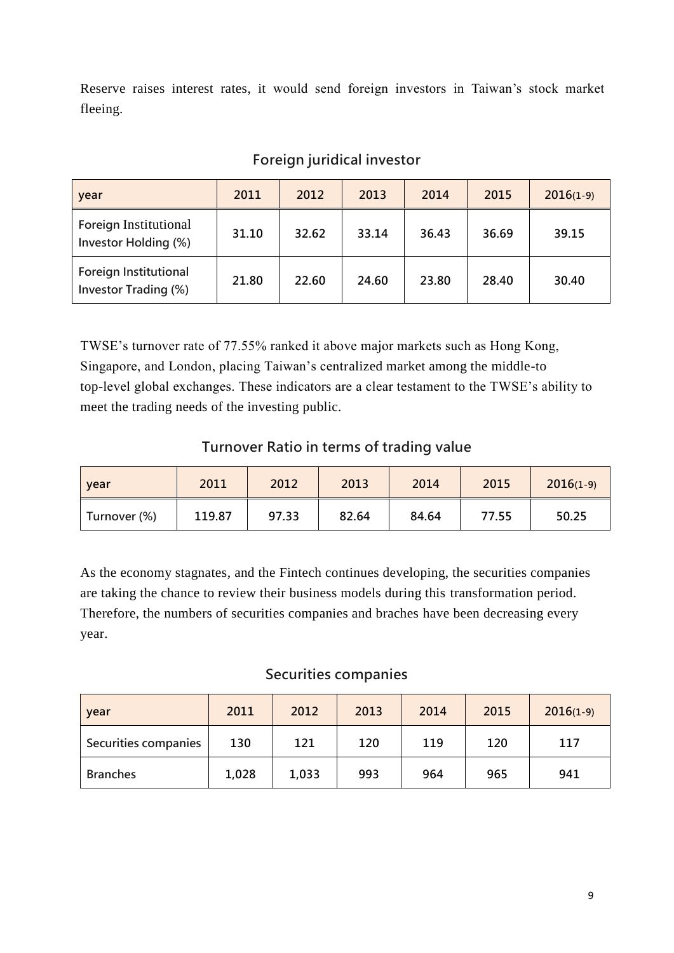Reserve raises interest rates, it would send foreign investors in Taiwan's stock market fleeing.

| year                                                 | 2011  | 2012  | 2013  | 2014  | 2015  | $2016(1-9)$ |
|------------------------------------------------------|-------|-------|-------|-------|-------|-------------|
| <b>Foreign Institutional</b><br>Investor Holding (%) | 31.10 | 32.62 | 33.14 | 36.43 | 36.69 | 39.15       |
| <b>Foreign Institutional</b><br>Investor Trading (%) | 21.80 | 22.60 | 24.60 | 23.80 | 28.40 | 30.40       |

# **Foreign juridical investor**

TWSE's turnover rate of 77.55% ranked it above major markets such as Hong Kong, Singapore, and London, placing Taiwan's centralized market among the middle-to top-level global exchanges. These indicators are a clear testament to the TWSE's ability to meet the trading needs of the investing public.

# **Turnover Ratio in terms of trading value**

| vear         | 2011   | 2012  | 2013  | 2014  | 2015  | $2016(1-9)$ |
|--------------|--------|-------|-------|-------|-------|-------------|
| Turnover (%) | 119.87 | 97.33 | 82.64 | 84.64 | 77.55 | 50.25       |

As the economy stagnates, and the Fintech continues developing, the securities companies are taking the chance to review their business models during this transformation period. Therefore, the numbers of securities companies and braches have been decreasing every year.

# **Securities companies**

| year                 | 2011  | 2012  | 2013 | 2014 | 2015 | $2016(1-9)$ |
|----------------------|-------|-------|------|------|------|-------------|
| Securities companies | 130   | 121   | 120  | 119  | 120  | 117         |
| <b>Branches</b>      | 1,028 | 1,033 | 993  | 964  | 965  | 941         |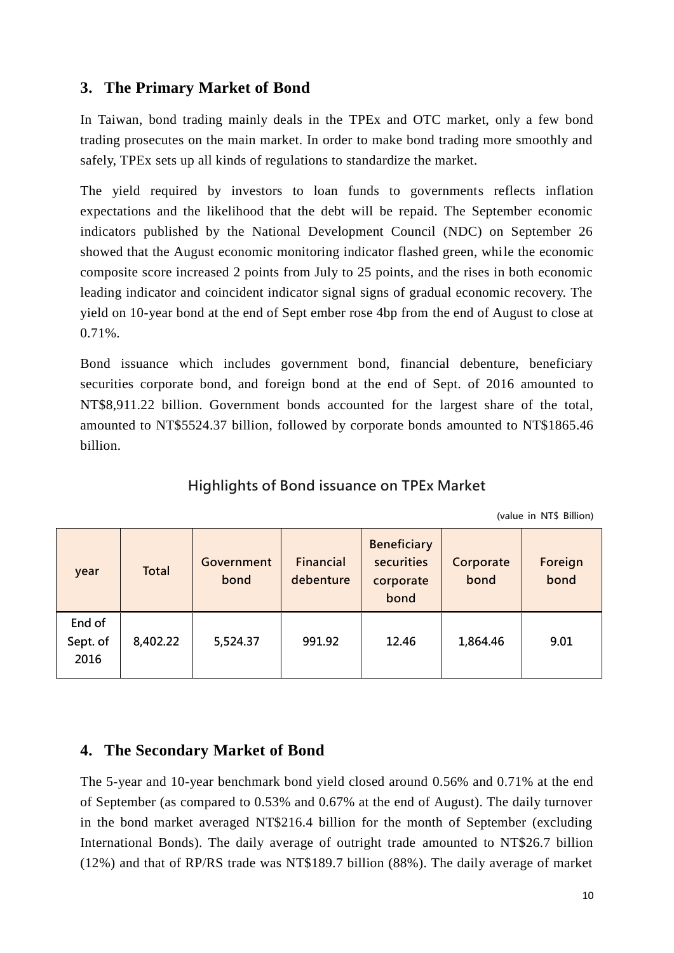# **3. The Primary Market of Bond**

In Taiwan, bond trading mainly deals in the TPEx and OTC market, only a few bond trading prosecutes on the main market. In order to make bond trading more smoothly and safely, TPEx sets up all kinds of regulations to standardize the market.

The yield required by investors to loan funds to governments reflects inflation expectations and the likelihood that the debt will be repaid. The September economic indicators published by the National Development Council (NDC) on September 26 showed that the August economic monitoring indicator flashed green, while the economic composite score increased 2 points from July to 25 points, and the rises in both economic leading indicator and coincident indicator signal signs of gradual economic recovery. The yield on 10-year bond at the end of Sept ember rose 4bp from the end of August to close at 0.71%.

Bond issuance which includes government bond, financial debenture, beneficiary securities corporate bond, and foreign bond at the end of Sept. of 2016 amounted to NT\$8,911.22 billion. Government bonds accounted for the largest share of the total, amounted to NT\$5524.37 billion, followed by corporate bonds amounted to NT\$1865.46 billion.

**Highlights of Bond issuance on TPEx Market**

**(value in NT\$ Billion)**

| year                       | <b>Total</b> | Government<br>bond | <b>Financial</b><br>debenture | <b>Beneficiary</b><br>securities<br>corporate<br>bond | Corporate<br>bond | Foreign<br>bond |
|----------------------------|--------------|--------------------|-------------------------------|-------------------------------------------------------|-------------------|-----------------|
| End of<br>Sept. of<br>2016 | 8,402.22     | 5,524.37           | 991.92                        | 12.46                                                 | 1,864.46          | 9.01            |

# **4. The Secondary Market of Bond**

The 5-year and 10-year benchmark bond yield closed around 0.56% and 0.71% at the end of September (as compared to 0.53% and 0.67% at the end of August). The daily turnover in the bond market averaged NT\$216.4 billion for the month of September (excluding International Bonds). The daily average of outright trade amounted to NT\$26.7 billion (12%) and that of RP/RS trade was NT\$189.7 billion (88%). The daily average of market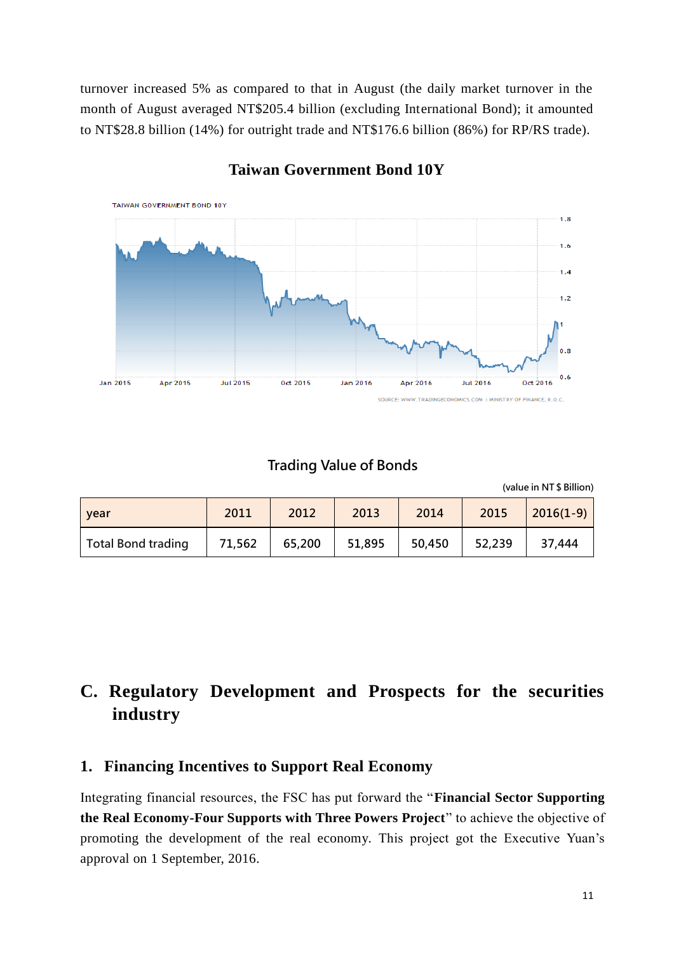turnover increased 5% as compared to that in August (the daily market turnover in the month of August averaged NT\$205.4 billion (excluding International Bond); it amounted to NT\$28.8 billion (14%) for outright trade and NT\$176.6 billion (86%) for RP/RS trade).



# **Taiwan Government Bond 10Y**

#### **Trading Value of Bonds**

**(value in NT\$Billion)**

| year                      | 2011   | 2012   | 2013   | 2014   | 2015   | $2016(1-9)$ |
|---------------------------|--------|--------|--------|--------|--------|-------------|
| <b>Total Bond trading</b> | 71,562 | 65,200 | 51,895 | 50,450 | 52,239 | 37,444      |

# **C. Regulatory Development and Prospects for the securities industry**

### **1. Financing Incentives to Support Real Economy**

Integrating financial resources, the FSC has put forward the "**Financial Sector Supporting the Real Economy-Four Supports with Three Powers Project**" to achieve the objective of promoting the development of the real economy. This project got the Executive Yuan's approval on 1 September, 2016.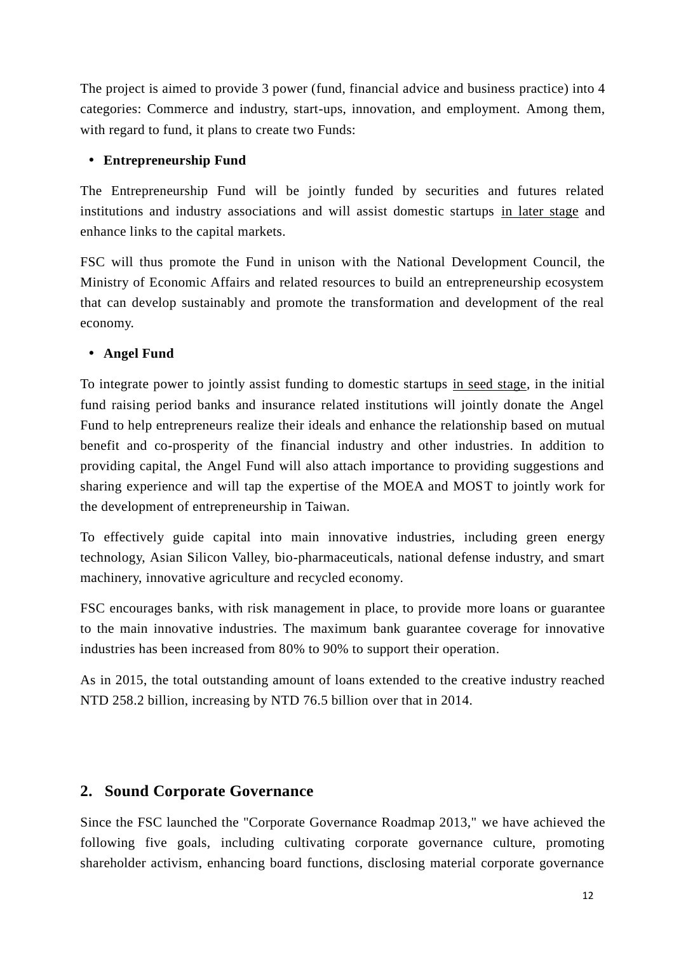The project is aimed to provide 3 power (fund, financial advice and business practice) into 4 categories: Commerce and industry, start-ups, innovation, and employment. Among them, with regard to fund, it plans to create two Funds:

### **Entrepreneurship Fund**

The Entrepreneurship Fund will be jointly funded by securities and futures related institutions and industry associations and will assist domestic startups in later stage and enhance links to the capital markets.

FSC will thus promote the Fund in unison with the National Development Council, the Ministry of Economic Affairs and related resources to build an entrepreneurship ecosystem that can develop sustainably and promote the transformation and development of the real economy.

# **Angel Fund**

To integrate power to jointly assist funding to domestic startups in seed stage, in the initial fund raising period banks and insurance related institutions will jointly donate the Angel Fund to help entrepreneurs realize their ideals and enhance the relationship based on mutual benefit and co-prosperity of the financial industry and other industries. In addition to providing capital, the Angel Fund will also attach importance to providing suggestions and sharing experience and will tap the expertise of the MOEA and MOST to jointly work for the development of entrepreneurship in Taiwan.

To effectively guide capital into main innovative industries, including green energy technology, Asian Silicon Valley, bio-pharmaceuticals, national defense industry, and smart machinery, innovative agriculture and recycled economy.

FSC encourages banks, with risk management in place, to provide more loans or guarantee to the main innovative industries. The maximum bank guarantee coverage for innovative industries has been increased from 80% to 90% to support their operation.

As in 2015, the total outstanding amount of loans extended to the creative industry reached NTD 258.2 billion, increasing by NTD 76.5 billion over that in 2014.

# **2. Sound Corporate Governance**

Since the FSC launched the "Corporate Governance Roadmap 2013," we have achieved the following five goals, including cultivating corporate governance culture, promoting shareholder activism, enhancing board functions, disclosing material corporate governance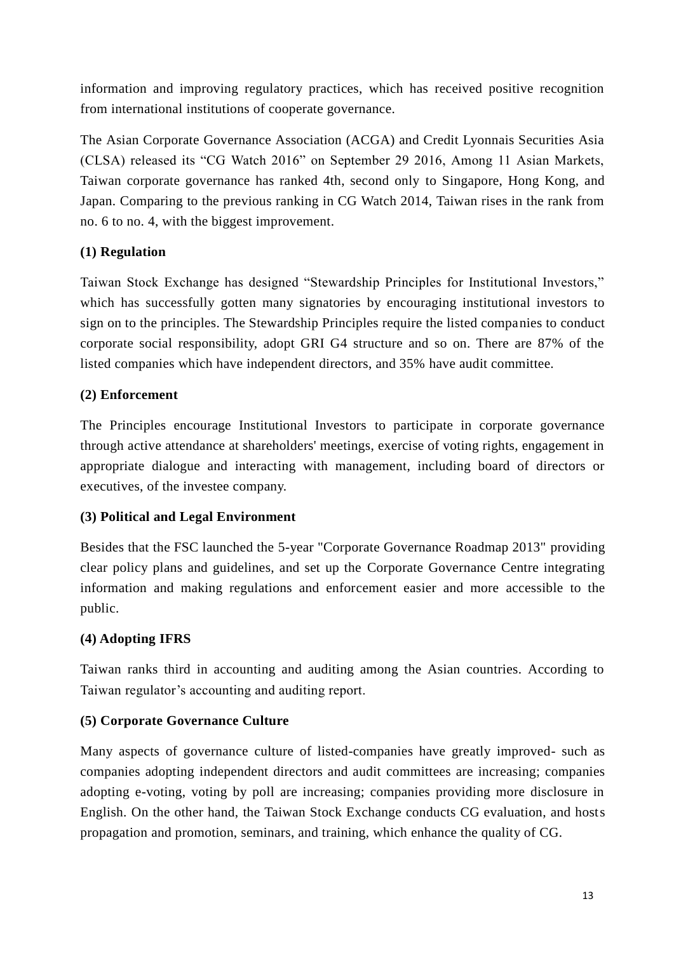information and improving regulatory practices, which has received positive recognition from international institutions of cooperate governance.

The Asian Corporate Governance Association (ACGA) and Credit Lyonnais Securities Asia (CLSA) released its "CG Watch 2016" on September 29 2016, Among 11 Asian Markets, Taiwan corporate governance has ranked 4th, second only to Singapore, Hong Kong, and Japan. Comparing to the previous ranking in CG Watch 2014, Taiwan rises in the rank from no. 6 to no. 4, with the biggest improvement.

#### **(1) Regulation**

Taiwan Stock Exchange has designed "Stewardship Principles for Institutional Investors," which has successfully gotten many signatories by encouraging institutional investors to sign on to the principles. The Stewardship Principles require the listed companies to conduct corporate social responsibility, adopt GRI G4 structure and so on. There are 87% of the listed companies which have independent directors, and 35% have audit committee.

#### **(2) Enforcement**

The Principles encourage Institutional Investors to participate in corporate governance through active attendance at shareholders' meetings, exercise of voting rights, engagement in appropriate dialogue and interacting with management, including board of directors or executives, of the investee company.

#### **(3) Political and Legal Environment**

Besides that the FSC launched the 5-year "Corporate Governance Roadmap 2013" providing clear policy plans and guidelines, and set up the Corporate Governance Centre integrating information and making regulations and enforcement easier and more accessible to the public.

#### **(4) Adopting IFRS**

Taiwan ranks third in accounting and auditing among the Asian countries. According to Taiwan regulator's accounting and auditing report.

#### **(5) Corporate Governance Culture**

Many aspects of governance culture of listed-companies have greatly improved- such as companies adopting independent directors and audit committees are increasing; companies adopting e-voting, voting by poll are increasing; companies providing more disclosure in English. On the other hand, the Taiwan Stock Exchange conducts CG evaluation, and hosts propagation and promotion, seminars, and training, which enhance the quality of CG.